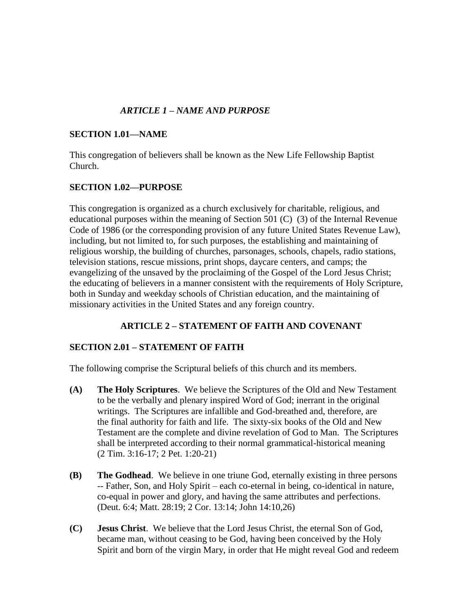## *ARTICLE 1 – NAME AND PURPOSE*

#### **SECTION 1.01—NAME**

This congregation of believers shall be known as the New Life Fellowship Baptist Church.

#### **SECTION 1.02—PURPOSE**

This congregation is organized as a church exclusively for charitable, religious, and educational purposes within the meaning of Section 501 (C) (3) of the Internal Revenue Code of 1986 (or the corresponding provision of any future United States Revenue Law), including, but not limited to, for such purposes, the establishing and maintaining of religious worship, the building of churches, parsonages, schools, chapels, radio stations, television stations, rescue missions, print shops, daycare centers, and camps; the evangelizing of the unsaved by the proclaiming of the Gospel of the Lord Jesus Christ; the educating of believers in a manner consistent with the requirements of Holy Scripture, both in Sunday and weekday schools of Christian education, and the maintaining of missionary activities in the United States and any foreign country.

## **ARTICLE 2 – STATEMENT OF FAITH AND COVENANT**

#### **SECTION 2.01 – STATEMENT OF FAITH**

The following comprise the Scriptural beliefs of this church and its members.

- **(A) The Holy Scriptures**. We believe the Scriptures of the Old and New Testament to be the verbally and plenary inspired Word of God; inerrant in the original writings. The Scriptures are infallible and God-breathed and, therefore, are the final authority for faith and life. The sixty-six books of the Old and New Testament are the complete and divine revelation of God to Man. The Scriptures shall be interpreted according to their normal grammatical-historical meaning (2 Tim. 3:16-17; 2 Pet. 1:20-21)
- **(B) The Godhead**. We believe in one triune God, eternally existing in three persons -- Father, Son, and Holy Spirit – each co-eternal in being, co-identical in nature, co-equal in power and glory, and having the same attributes and perfections. (Deut. 6:4; Matt. 28:19; 2 Cor. 13:14; John 14:10,26)
- **(C) Jesus Christ**. We believe that the Lord Jesus Christ, the eternal Son of God, became man, without ceasing to be God, having been conceived by the Holy Spirit and born of the virgin Mary, in order that He might reveal God and redeem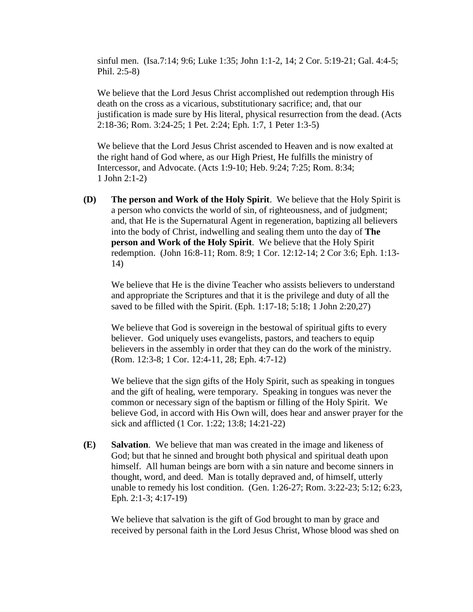sinful men. (Isa.7:14; 9:6; Luke 1:35; John 1:1-2, 14; 2 Cor. 5:19-21; Gal. 4:4-5; Phil. 2:5-8)

We believe that the Lord Jesus Christ accomplished out redemption through His death on the cross as a vicarious, substitutionary sacrifice; and, that our justification is made sure by His literal, physical resurrection from the dead. (Acts 2:18-36; Rom. 3:24-25; 1 Pet. 2:24; Eph. 1:7, 1 Peter 1:3-5)

We believe that the Lord Jesus Christ ascended to Heaven and is now exalted at the right hand of God where, as our High Priest, He fulfills the ministry of Intercessor, and Advocate. (Acts 1:9-10; Heb. 9:24; 7:25; Rom. 8:34; 1 John 2:1-2)

**(D) The person and Work of the Holy Spirit**. We believe that the Holy Spirit is a person who convicts the world of sin, of righteousness, and of judgment; and, that He is the Supernatural Agent in regeneration, baptizing all believers into the body of Christ, indwelling and sealing them unto the day of **The person and Work of the Holy Spirit**. We believe that the Holy Spirit redemption. (John 16:8-11; Rom. 8:9; 1 Cor. 12:12-14; 2 Cor 3:6; Eph. 1:13- 14)

We believe that He is the divine Teacher who assists believers to understand and appropriate the Scriptures and that it is the privilege and duty of all the saved to be filled with the Spirit. (Eph. 1:17-18; 5:18; 1 John 2:20,27)

We believe that God is sovereign in the bestowal of spiritual gifts to every believer. God uniquely uses evangelists, pastors, and teachers to equip believers in the assembly in order that they can do the work of the ministry. (Rom. 12:3-8; 1 Cor. 12:4-11, 28; Eph. 4:7-12)

We believe that the sign gifts of the Holy Spirit, such as speaking in tongues and the gift of healing, were temporary. Speaking in tongues was never the common or necessary sign of the baptism or filling of the Holy Spirit. We believe God, in accord with His Own will, does hear and answer prayer for the sick and afflicted (1 Cor. 1:22; 13:8; 14:21-22)

**(E) Salvation**. We believe that man was created in the image and likeness of God; but that he sinned and brought both physical and spiritual death upon himself. All human beings are born with a sin nature and become sinners in thought, word, and deed. Man is totally depraved and, of himself, utterly unable to remedy his lost condition. (Gen. 1:26-27; Rom. 3:22-23; 5:12; 6:23, Eph. 2:1-3; 4:17-19)

We believe that salvation is the gift of God brought to man by grace and received by personal faith in the Lord Jesus Christ, Whose blood was shed on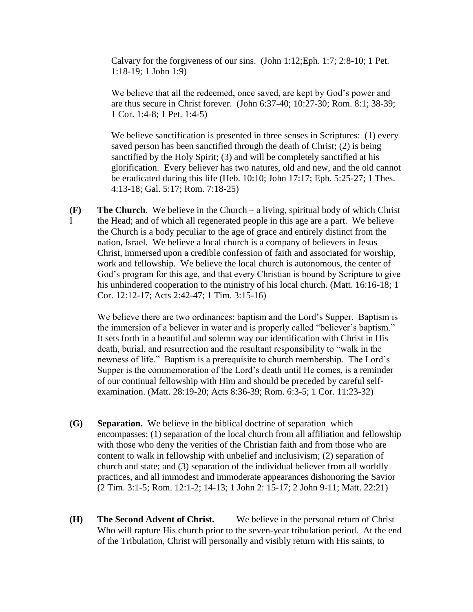Calvary for the forgiveness of our sins. (John 1:12;Eph. 1:7; 2:8-10; 1 Pet. 1:18-19; 1 John 1:9)

We believe that all the redeemed, once saved, are kept by God's power and are thus secure in Christ forever. (John 6:37-40; 10:27-30; Rom. 8:1; 38-39; 1 Cor. 1:4-8; 1 Pet. 1:4-5)

We believe sanctification is presented in three senses in Scriptures: (1) every saved person has been sanctified through the death of Christ; (2) is being sanctified by the Holy Spirit; (3) and will be completely sanctified at his glorification. Every believer has two natures, old and new, and the old cannot be eradicated during this life (Heb. 10:10; John 17:17; Eph. 5:25-27; 1 Thes. 4:13-18; Gal. 5:17; Rom. 7:18-25)

**(F) The Church**. We believe in the Church – a living, spiritual body of which Christ I the Head; and of which all regenerated people in this age are a part. We believe the Church is a body peculiar to the age of grace and entirely distinct from the nation, Israel. We believe a local church is a company of believers in Jesus Christ, immersed upon a credible confession of faith and associated for worship, work and fellowship. We believe the local church is autonomous, the center of God's program for this age, and that every Christian is bound by Scripture to give his unhindered cooperation to the ministry of his local church. (Matt. 16:16-18; 1 Cor. 12:12-17; Acts 2:42-47; 1 Tim. 3:15-16)

We believe there are two ordinances: baptism and the Lord's Supper. Baptism is the immersion of a believer in water and is properly called "believer's baptism." It sets forth in a beautiful and solemn way our identification with Christ in His death, burial, and resurrection and the resultant responsibility to "walk in the newness of life." Baptism is a prerequisite to church membership. The Lord's Supper is the commemoration of the Lord's death until He comes, is a reminder of our continual fellowship with Him and should be preceded by careful selfexamination. (Matt. 28:19-20; Acts 8:36-39; Rom. 6:3-5; 1 Cor. 11:23-32)

- **(G) Separation.** We believe in the biblical doctrine of separationwhich encompasses: (1) separation of the local church from all affiliation and fellowship with those who deny the verities of the Christian faith and from those who are content to walk in fellowship with unbelief and inclusivism; (2) separation of church and state; and (3) separation of the individual believer from all worldly practices, and all immodest and immoderate appearances dishonoring the Savior (2 Tim. 3:1-5; Rom. 12:1-2; 14-13; 1 John 2: 15-17; 2 John 9-11; Matt. 22:21)
- **(H) The Second Advent of Christ.** We believe in the personal return of Christ Who will rapture His church prior to the seven-year tribulation period. At the end of the Tribulation, Christ will personally and visibly return with His saints, to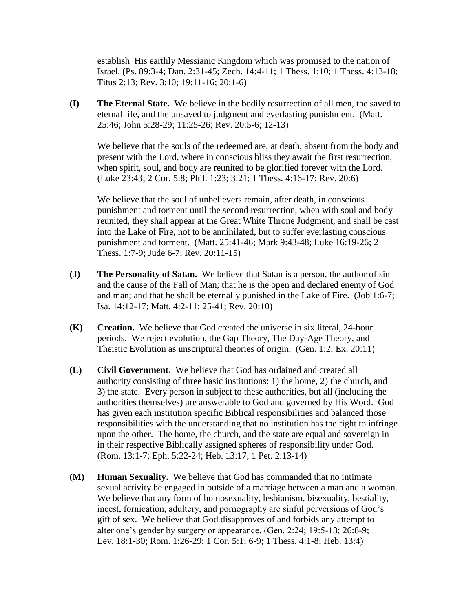establish His earthly Messianic Kingdom which was promised to the nation of Israel. (Ps. 89:3-4; Dan. 2:31-45; Zech. 14:4-11; 1 Thess. 1:10; 1 Thess. 4:13-18; Titus 2:13; Rev. 3:10; 19:11-16; 20:1-6)

**(I) The Eternal State.** We believe in the bodily resurrection of all men, the saved to eternal life, and the unsaved to judgment and everlasting punishment. (Matt. 25:46; John 5:28-29; 11:25-26; Rev. 20:5-6; 12-13)

We believe that the souls of the redeemed are, at death, absent from the body and present with the Lord, where in conscious bliss they await the first resurrection, when spirit, soul, and body are reunited to be glorified forever with the Lord. (Luke 23:43; 2 Cor. 5:8; Phil. 1:23; 3:21; 1 Thess. 4:16-17; Rev. 20:6)

We believe that the soul of unbelievers remain, after death, in conscious punishment and torment until the second resurrection, when with soul and body reunited, they shall appear at the Great White Throne Judgment, and shall be cast into the Lake of Fire, not to be annihilated, but to suffer everlasting conscious punishment and torment. (Matt. 25:41-46; Mark 9:43-48; Luke 16:19-26; 2 Thess. 1:7-9; Jude 6-7; Rev. 20:11-15)

- **(J) The Personality of Satan.** We believe that Satan is a person, the author of sin and the cause of the Fall of Man; that he is the open and declared enemy of God and man; and that he shall be eternally punished in the Lake of Fire. (Job 1:6-7; Isa. 14:12-17; Matt. 4:2-11; 25-41; Rev. 20:10)
- **(K) Creation.** We believe that God created the universe in six literal, 24-hour periods. We reject evolution, the Gap Theory, The Day-Age Theory, and Theistic Evolution as unscriptural theories of origin. (Gen. 1:2; Ex. 20:11)
- **(L) Civil Government.** We believe that God has ordained and created all authority consisting of three basic institutions: 1) the home, 2) the church, and 3) the state. Every person in subject to these authorities, but all (including the authorities themselves) are answerable to God and governed by His Word. God has given each institution specific Biblical responsibilities and balanced those responsibilities with the understanding that no institution has the right to infringe upon the other. The home, the church, and the state are equal and sovereign in in their respective Biblically assigned spheres of responsibility under God. (Rom. 13:1-7; Eph. 5:22-24; Heb. 13:17; 1 Pet. 2:13-14)
- **(M) Human Sexuality.** We believe that God has commanded that no intimate sexual activity be engaged in outside of a marriage between a man and a woman. We believe that any form of homosexuality, lesbianism, bisexuality, bestiality, incest, fornication, adultery, and pornography are sinful perversions of God's gift of sex. We believe that God disapproves of and forbids any attempt to alter one's gender by surgery or appearance. (Gen. 2:24; 19:5-13; 26:8-9; Lev. 18:1-30; Rom. 1:26-29; 1 Cor. 5:1; 6-9; 1 Thess. 4:1-8; Heb. 13:4)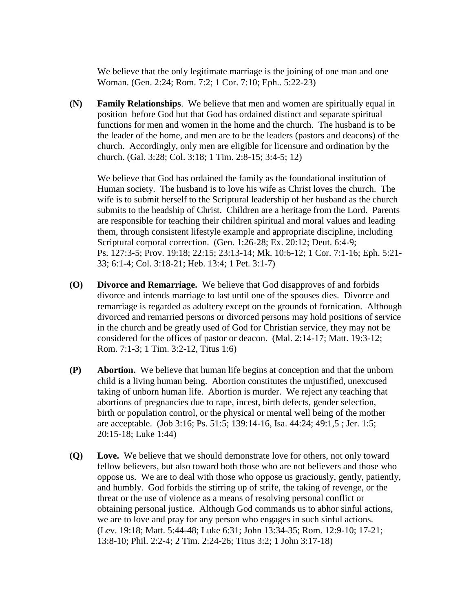We believe that the only legitimate marriage is the joining of one man and one Woman. (Gen. 2:24; Rom. 7:2; 1 Cor. 7:10; Eph.. 5:22-23)

**(N) Family Relationships**. We believe that men and women are spiritually equal in position before God but that God has ordained distinct and separate spiritual functions for men and women in the home and the church. The husband is to be the leader of the home, and men are to be the leaders (pastors and deacons) of the church. Accordingly, only men are eligible for licensure and ordination by the church. (Gal. 3:28; Col. 3:18; 1 Tim. 2:8-15; 3:4-5; 12)

We believe that God has ordained the family as the foundational institution of Human society. The husband is to love his wife as Christ loves the church. The wife is to submit herself to the Scriptural leadership of her husband as the church submits to the headship of Christ. Children are a heritage from the Lord. Parents are responsible for teaching their children spiritual and moral values and leading them, through consistent lifestyle example and appropriate discipline, including Scriptural corporal correction. (Gen. 1:26-28; Ex. 20:12; Deut. 6:4-9; Ps. 127:3-5; Prov. 19:18; 22:15; 23:13-14; Mk. 10:6-12; 1 Cor. 7:1-16; Eph. 5:21- 33; 6:1-4; Col. 3:18-21; Heb. 13:4; 1 Pet. 3:1-7)

- **(O) Divorce and Remarriage.** We believe that God disapproves of and forbids divorce and intends marriage to last until one of the spouses dies. Divorce and remarriage is regarded as adultery except on the grounds of fornication. Although divorced and remarried persons or divorced persons may hold positions of service in the church and be greatly used of God for Christian service, they may not be considered for the offices of pastor or deacon. (Mal. 2:14-17; Matt. 19:3-12; Rom. 7:1-3; 1 Tim. 3:2-12, Titus 1:6)
- **(P) Abortion.** We believe that human life begins at conception and that the unborn child is a living human being. Abortion constitutes the unjustified, unexcused taking of unborn human life. Abortion is murder. We reject any teaching that abortions of pregnancies due to rape, incest, birth defects, gender selection, birth or population control, or the physical or mental well being of the mother are acceptable. (Job 3:16; Ps. 51:5; 139:14-16, Isa. 44:24; 49:1,5 ; Jer. 1:5; 20:15-18; Luke 1:44)
- **(Q) Love.** We believe that we should demonstrate love for others, not only toward fellow believers, but also toward both those who are not believers and those who oppose us. We are to deal with those who oppose us graciously, gently, patiently, and humbly. God forbids the stirring up of strife, the taking of revenge, or the threat or the use of violence as a means of resolving personal conflict or obtaining personal justice. Although God commands us to abhor sinful actions, we are to love and pray for any person who engages in such sinful actions. (Lev. 19:18; Matt. 5:44-48; Luke 6:31; John 13:34-35; Rom. 12:9-10; 17-21; 13:8-10; Phil. 2:2-4; 2 Tim. 2:24-26; Titus 3:2; 1 John 3:17-18)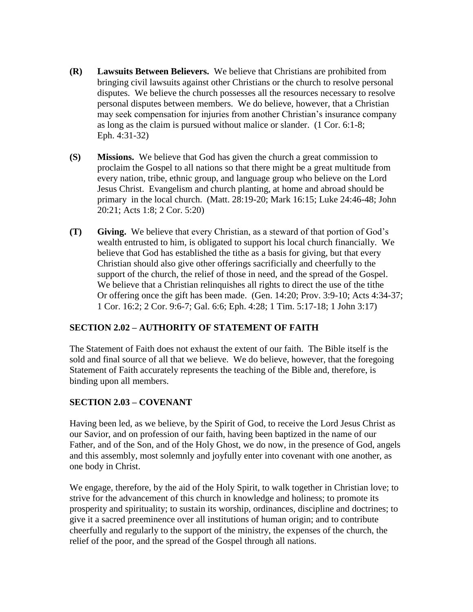- **(R) Lawsuits Between Believers.** We believe that Christians are prohibited from bringing civil lawsuits against other Christians or the church to resolve personal disputes. We believe the church possesses all the resources necessary to resolve personal disputes between members. We do believe, however, that a Christian may seek compensation for injuries from another Christian's insurance company as long as the claim is pursued without malice or slander. (1 Cor. 6:1-8; Eph. 4:31-32)
- **(S) Missions.** We believe that God has given the church a great commission to proclaim the Gospel to all nations so that there might be a great multitude from every nation, tribe, ethnic group, and language group who believe on the Lord Jesus Christ. Evangelism and church planting, at home and abroad should be primary in the local church. (Matt. 28:19-20; Mark 16:15; Luke 24:46-48; John 20:21; Acts 1:8; 2 Cor. 5:20)
- **(T) Giving.** We believe that every Christian, as a steward of that portion of God's wealth entrusted to him, is obligated to support his local church financially. We believe that God has established the tithe as a basis for giving, but that every Christian should also give other offerings sacrificially and cheerfully to the support of the church, the relief of those in need, and the spread of the Gospel. We believe that a Christian relinquishes all rights to direct the use of the tithe Or offering once the gift has been made. (Gen. 14:20; Prov. 3:9-10; Acts 4:34-37; 1 Cor. 16:2; 2 Cor. 9:6-7; Gal. 6:6; Eph. 4:28; 1 Tim. 5:17-18; 1 John 3:17)

# **SECTION 2.02 – AUTHORITY OF STATEMENT OF FAITH**

The Statement of Faith does not exhaust the extent of our faith. The Bible itself is the sold and final source of all that we believe. We do believe, however, that the foregoing Statement of Faith accurately represents the teaching of the Bible and, therefore, is binding upon all members.

## **SECTION 2.03 – COVENANT**

Having been led, as we believe, by the Spirit of God, to receive the Lord Jesus Christ as our Savior, and on profession of our faith, having been baptized in the name of our Father, and of the Son, and of the Holy Ghost, we do now, in the presence of God, angels and this assembly, most solemnly and joyfully enter into covenant with one another, as one body in Christ.

We engage, therefore, by the aid of the Holy Spirit, to walk together in Christian love; to strive for the advancement of this church in knowledge and holiness; to promote its prosperity and spirituality; to sustain its worship, ordinances, discipline and doctrines; to give it a sacred preeminence over all institutions of human origin; and to contribute cheerfully and regularly to the support of the ministry, the expenses of the church, the relief of the poor, and the spread of the Gospel through all nations.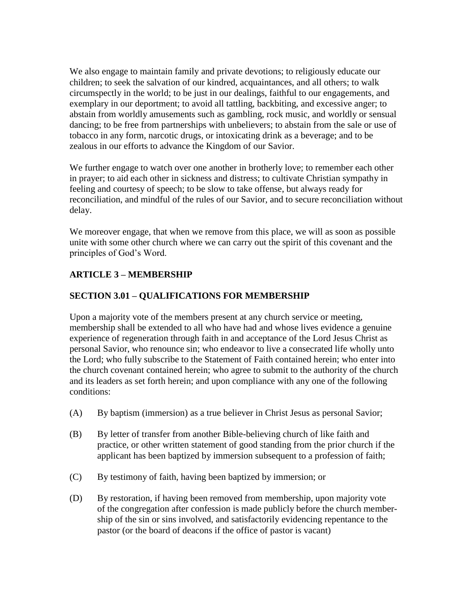We also engage to maintain family and private devotions; to religiously educate our children; to seek the salvation of our kindred, acquaintances, and all others; to walk circumspectly in the world; to be just in our dealings, faithful to our engagements, and exemplary in our deportment; to avoid all tattling, backbiting, and excessive anger; to abstain from worldly amusements such as gambling, rock music, and worldly or sensual dancing; to be free from partnerships with unbelievers; to abstain from the sale or use of tobacco in any form, narcotic drugs, or intoxicating drink as a beverage; and to be zealous in our efforts to advance the Kingdom of our Savior.

We further engage to watch over one another in brotherly love; to remember each other in prayer; to aid each other in sickness and distress; to cultivate Christian sympathy in feeling and courtesy of speech; to be slow to take offense, but always ready for reconciliation, and mindful of the rules of our Savior, and to secure reconciliation without delay.

We moreover engage, that when we remove from this place, we will as soon as possible unite with some other church where we can carry out the spirit of this covenant and the principles of God's Word.

# **ARTICLE 3 – MEMBERSHIP**

# **SECTION 3.01 – QUALIFICATIONS FOR MEMBERSHIP**

Upon a majority vote of the members present at any church service or meeting, membership shall be extended to all who have had and whose lives evidence a genuine experience of regeneration through faith in and acceptance of the Lord Jesus Christ as personal Savior, who renounce sin; who endeavor to live a consecrated life wholly unto the Lord; who fully subscribe to the Statement of Faith contained herein; who enter into the church covenant contained herein; who agree to submit to the authority of the church and its leaders as set forth herein; and upon compliance with any one of the following conditions:

- (A) By baptism (immersion) as a true believer in Christ Jesus as personal Savior;
- (B) By letter of transfer from another Bible-believing church of like faith and practice, or other written statement of good standing from the prior church if the applicant has been baptized by immersion subsequent to a profession of faith;
- (C) By testimony of faith, having been baptized by immersion; or
- (D) By restoration, if having been removed from membership, upon majority vote of the congregation after confession is made publicly before the church membership of the sin or sins involved, and satisfactorily evidencing repentance to the pastor (or the board of deacons if the office of pastor is vacant)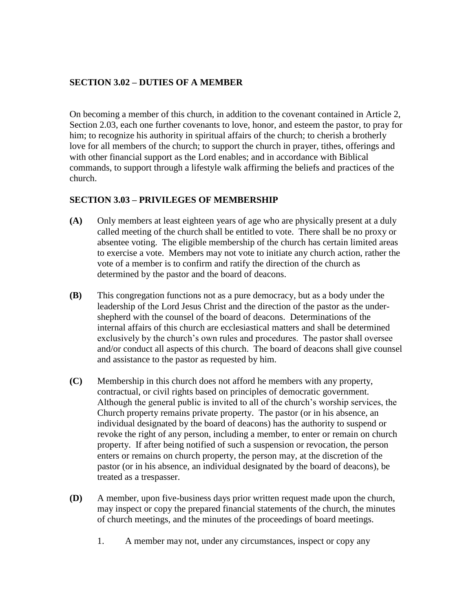## **SECTION 3.02 – DUTIES OF A MEMBER**

On becoming a member of this church, in addition to the covenant contained in Article 2, Section 2.03, each one further covenants to love, honor, and esteem the pastor, to pray for him; to recognize his authority in spiritual affairs of the church; to cherish a brotherly love for all members of the church; to support the church in prayer, tithes, offerings and with other financial support as the Lord enables; and in accordance with Biblical commands, to support through a lifestyle walk affirming the beliefs and practices of the church.

## **SECTION 3.03 – PRIVILEGES OF MEMBERSHIP**

- **(A)** Only members at least eighteen years of age who are physically present at a duly called meeting of the church shall be entitled to vote. There shall be no proxy or absentee voting. The eligible membership of the church has certain limited areas to exercise a vote. Members may not vote to initiate any church action, rather the vote of a member is to confirm and ratify the direction of the church as determined by the pastor and the board of deacons.
- **(B)** This congregation functions not as a pure democracy, but as a body under the leadership of the Lord Jesus Christ and the direction of the pastor as the undershepherd with the counsel of the board of deacons. Determinations of the internal affairs of this church are ecclesiastical matters and shall be determined exclusively by the church's own rules and procedures. The pastor shall oversee and/or conduct all aspects of this church. The board of deacons shall give counsel and assistance to the pastor as requested by him.
- **(C)** Membership in this church does not afford he members with any property, contractual, or civil rights based on principles of democratic government. Although the general public is invited to all of the church's worship services, the Church property remains private property. The pastor (or in his absence, an individual designated by the board of deacons) has the authority to suspend or revoke the right of any person, including a member, to enter or remain on church property. If after being notified of such a suspension or revocation, the person enters or remains on church property, the person may, at the discretion of the pastor (or in his absence, an individual designated by the board of deacons), be treated as a trespasser.
- **(D)** A member, upon five-business days prior written request made upon the church, may inspect or copy the prepared financial statements of the church, the minutes of church meetings, and the minutes of the proceedings of board meetings.
	- 1. A member may not, under any circumstances, inspect or copy any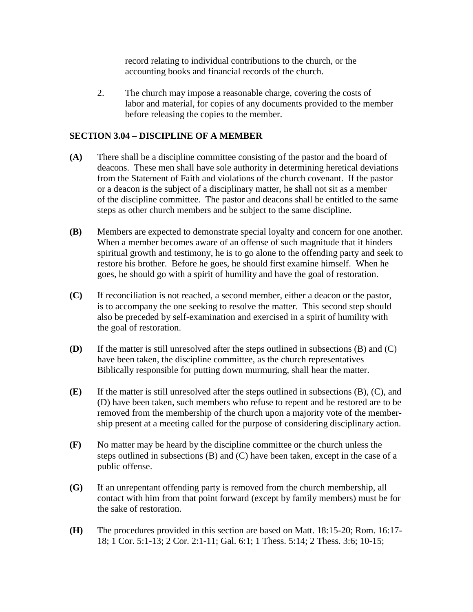record relating to individual contributions to the church, or the accounting books and financial records of the church.

2. The church may impose a reasonable charge, covering the costs of labor and material, for copies of any documents provided to the member before releasing the copies to the member.

#### **SECTION 3.04 – DISCIPLINE OF A MEMBER**

- **(A)** There shall be a discipline committee consisting of the pastor and the board of deacons. These men shall have sole authority in determining heretical deviations from the Statement of Faith and violations of the church covenant. If the pastor or a deacon is the subject of a disciplinary matter, he shall not sit as a member of the discipline committee. The pastor and deacons shall be entitled to the same steps as other church members and be subject to the same discipline.
- **(B)** Members are expected to demonstrate special loyalty and concern for one another. When a member becomes aware of an offense of such magnitude that it hinders spiritual growth and testimony, he is to go alone to the offending party and seek to restore his brother. Before he goes, he should first examine himself. When he goes, he should go with a spirit of humility and have the goal of restoration.
- **(C)** If reconciliation is not reached, a second member, either a deacon or the pastor, is to accompany the one seeking to resolve the matter. This second step should also be preceded by self-examination and exercised in a spirit of humility with the goal of restoration.
- **(D)** If the matter is still unresolved after the steps outlined in subsections (B) and (C) have been taken, the discipline committee, as the church representatives Biblically responsible for putting down murmuring, shall hear the matter.
- **(E)** If the matter is still unresolved after the steps outlined in subsections (B), (C), and (D) have been taken, such members who refuse to repent and be restored are to be removed from the membership of the church upon a majority vote of the membership present at a meeting called for the purpose of considering disciplinary action.
- **(F)** No matter may be heard by the discipline committee or the church unless the steps outlined in subsections (B) and (C) have been taken, except in the case of a public offense.
- **(G)** If an unrepentant offending party is removed from the church membership, all contact with him from that point forward (except by family members) must be for the sake of restoration.
- **(H)** The procedures provided in this section are based on Matt. 18:15-20; Rom. 16:17- 18; 1 Cor. 5:1-13; 2 Cor. 2:1-11; Gal. 6:1; 1 Thess. 5:14; 2 Thess. 3:6; 10-15;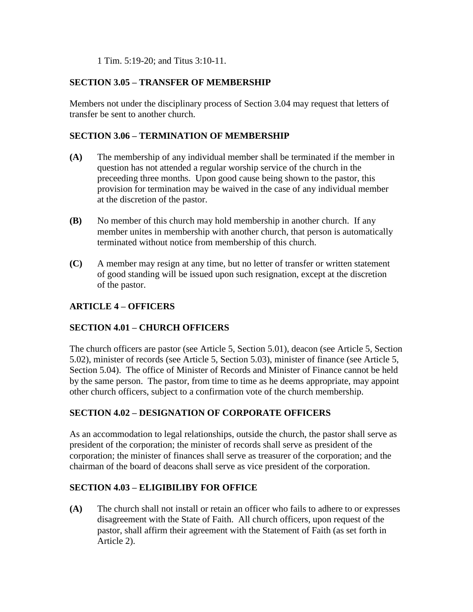1 Tim. 5:19-20; and Titus 3:10-11.

## **SECTION 3.05 – TRANSFER OF MEMBERSHIP**

Members not under the disciplinary process of Section 3.04 may request that letters of transfer be sent to another church.

## **SECTION 3.06 – TERMINATION OF MEMBERSHIP**

- **(A)** The membership of any individual member shall be terminated if the member in question has not attended a regular worship service of the church in the preceeding three months. Upon good cause being shown to the pastor, this provision for termination may be waived in the case of any individual member at the discretion of the pastor.
- **(B)** No member of this church may hold membership in another church. If any member unites in membership with another church, that person is automatically terminated without notice from membership of this church.
- **(C)** A member may resign at any time, but no letter of transfer or written statement of good standing will be issued upon such resignation, except at the discretion of the pastor.

# **ARTICLE 4 – OFFICERS**

## **SECTION 4.01 – CHURCH OFFICERS**

The church officers are pastor (see Article 5, Section 5.01), deacon (see Article 5, Section 5.02), minister of records (see Article 5, Section 5.03), minister of finance (see Article 5, Section 5.04). The office of Minister of Records and Minister of Finance cannot be held by the same person. The pastor, from time to time as he deems appropriate, may appoint other church officers, subject to a confirmation vote of the church membership.

## **SECTION 4.02 – DESIGNATION OF CORPORATE OFFICERS**

As an accommodation to legal relationships, outside the church, the pastor shall serve as president of the corporation; the minister of records shall serve as president of the corporation; the minister of finances shall serve as treasurer of the corporation; and the chairman of the board of deacons shall serve as vice president of the corporation.

## **SECTION 4.03 – ELIGIBILIBY FOR OFFICE**

**(A)** The church shall not install or retain an officer who fails to adhere to or expresses disagreement with the State of Faith. All church officers, upon request of the pastor, shall affirm their agreement with the Statement of Faith (as set forth in Article 2).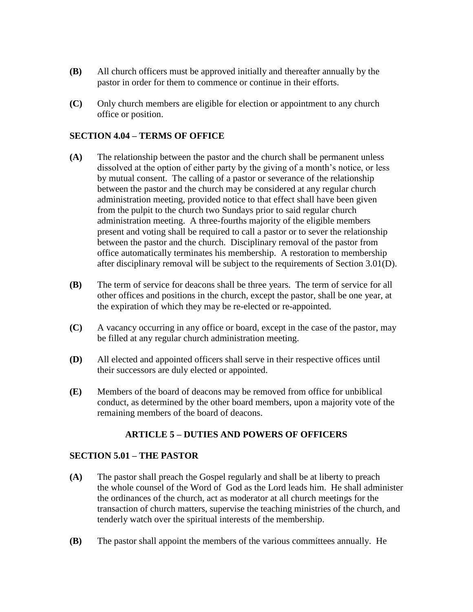- **(B)** All church officers must be approved initially and thereafter annually by the pastor in order for them to commence or continue in their efforts.
- **(C)** Only church members are eligible for election or appointment to any church office or position.

#### **SECTION 4.04 – TERMS OF OFFICE**

- **(A)** The relationship between the pastor and the church shall be permanent unless dissolved at the option of either party by the giving of a month's notice, or less by mutual consent. The calling of a pastor or severance of the relationship between the pastor and the church may be considered at any regular church administration meeting, provided notice to that effect shall have been given from the pulpit to the church two Sundays prior to said regular church administration meeting. A three-fourths majority of the eligible members present and voting shall be required to call a pastor or to sever the relationship between the pastor and the church. Disciplinary removal of the pastor from office automatically terminates his membership. A restoration to membership after disciplinary removal will be subject to the requirements of Section 3.01(D).
- **(B)** The term of service for deacons shall be three years. The term of service for all other offices and positions in the church, except the pastor, shall be one year, at the expiration of which they may be re-elected or re-appointed.
- **(C)** A vacancy occurring in any office or board, except in the case of the pastor, may be filled at any regular church administration meeting.
- **(D)** All elected and appointed officers shall serve in their respective offices until their successors are duly elected or appointed.
- **(E)** Members of the board of deacons may be removed from office for unbiblical conduct, as determined by the other board members, upon a majority vote of the remaining members of the board of deacons.

#### **ARTICLE 5 – DUTIES AND POWERS OF OFFICERS**

#### **SECTION 5.01 – THE PASTOR**

- **(A)** The pastor shall preach the Gospel regularly and shall be at liberty to preach the whole counsel of the Word of God as the Lord leads him. He shall administer the ordinances of the church, act as moderator at all church meetings for the transaction of church matters, supervise the teaching ministries of the church, and tenderly watch over the spiritual interests of the membership.
- **(B)** The pastor shall appoint the members of the various committees annually. He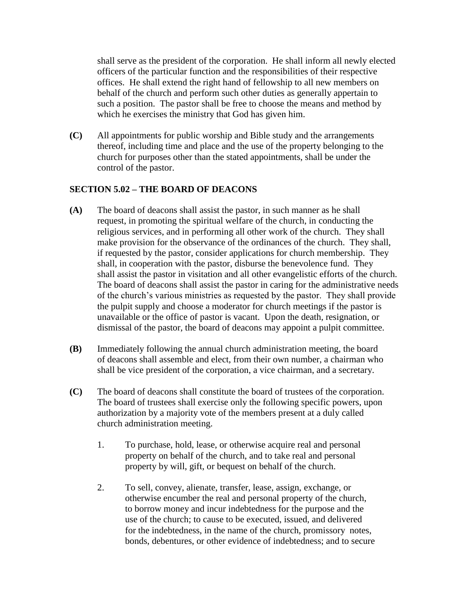shall serve as the president of the corporation. He shall inform all newly elected officers of the particular function and the responsibilities of their respective offices. He shall extend the right hand of fellowship to all new members on behalf of the church and perform such other duties as generally appertain to such a position. The pastor shall be free to choose the means and method by which he exercises the ministry that God has given him.

**(C)** All appointments for public worship and Bible study and the arrangements thereof, including time and place and the use of the property belonging to the church for purposes other than the stated appointments, shall be under the control of the pastor.

#### **SECTION 5.02 – THE BOARD OF DEACONS**

- **(A)** The board of deacons shall assist the pastor, in such manner as he shall request, in promoting the spiritual welfare of the church, in conducting the religious services, and in performing all other work of the church. They shall make provision for the observance of the ordinances of the church. They shall, if requested by the pastor, consider applications for church membership. They shall, in cooperation with the pastor, disburse the benevolence fund. They shall assist the pastor in visitation and all other evangelistic efforts of the church. The board of deacons shall assist the pastor in caring for the administrative needs of the church's various ministries as requested by the pastor. They shall provide the pulpit supply and choose a moderator for church meetings if the pastor is unavailable or the office of pastor is vacant. Upon the death, resignation, or dismissal of the pastor, the board of deacons may appoint a pulpit committee.
- **(B)** Immediately following the annual church administration meeting, the board of deacons shall assemble and elect, from their own number, a chairman who shall be vice president of the corporation, a vice chairman, and a secretary.
- **(C)** The board of deacons shall constitute the board of trustees of the corporation. The board of trustees shall exercise only the following specific powers, upon authorization by a majority vote of the members present at a duly called church administration meeting.
	- 1. To purchase, hold, lease, or otherwise acquire real and personal property on behalf of the church, and to take real and personal property by will, gift, or bequest on behalf of the church.
	- 2. To sell, convey, alienate, transfer, lease, assign, exchange, or otherwise encumber the real and personal property of the church, to borrow money and incur indebtedness for the purpose and the use of the church; to cause to be executed, issued, and delivered for the indebtedness, in the name of the church, promissory notes, bonds, debentures, or other evidence of indebtedness; and to secure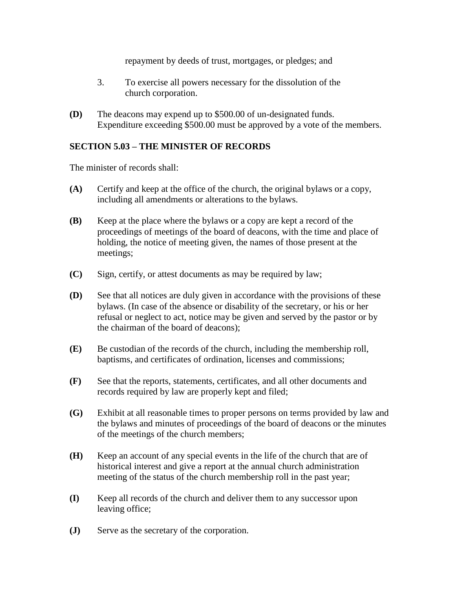repayment by deeds of trust, mortgages, or pledges; and

- 3. To exercise all powers necessary for the dissolution of the church corporation.
- **(D)** The deacons may expend up to \$500.00 of un-designated funds. Expenditure exceeding \$500.00 must be approved by a vote of the members.

#### **SECTION 5.03 – THE MINISTER OF RECORDS**

The minister of records shall:

- **(A)** Certify and keep at the office of the church, the original bylaws or a copy, including all amendments or alterations to the bylaws.
- **(B)** Keep at the place where the bylaws or a copy are kept a record of the proceedings of meetings of the board of deacons, with the time and place of holding, the notice of meeting given, the names of those present at the meetings;
- **(C)** Sign, certify, or attest documents as may be required by law;
- **(D)** See that all notices are duly given in accordance with the provisions of these bylaws. (In case of the absence or disability of the secretary, or his or her refusal or neglect to act, notice may be given and served by the pastor or by the chairman of the board of deacons);
- **(E)** Be custodian of the records of the church, including the membership roll, baptisms, and certificates of ordination, licenses and commissions;
- **(F)** See that the reports, statements, certificates, and all other documents and records required by law are properly kept and filed;
- **(G)** Exhibit at all reasonable times to proper persons on terms provided by law and the bylaws and minutes of proceedings of the board of deacons or the minutes of the meetings of the church members;
- **(H)** Keep an account of any special events in the life of the church that are of historical interest and give a report at the annual church administration meeting of the status of the church membership roll in the past year;
- **(I)** Keep all records of the church and deliver them to any successor upon leaving office;
- **(J)** Serve as the secretary of the corporation.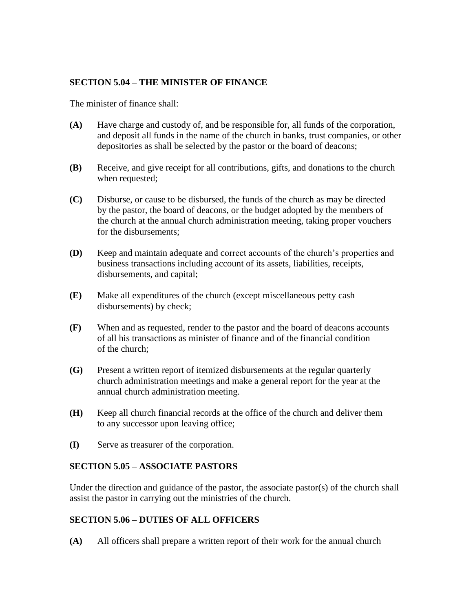## **SECTION 5.04 – THE MINISTER OF FINANCE**

The minister of finance shall:

- **(A)** Have charge and custody of, and be responsible for, all funds of the corporation, and deposit all funds in the name of the church in banks, trust companies, or other depositories as shall be selected by the pastor or the board of deacons;
- **(B)** Receive, and give receipt for all contributions, gifts, and donations to the church when requested;
- **(C)** Disburse, or cause to be disbursed, the funds of the church as may be directed by the pastor, the board of deacons, or the budget adopted by the members of the church at the annual church administration meeting, taking proper vouchers for the disbursements;
- **(D)** Keep and maintain adequate and correct accounts of the church's properties and business transactions including account of its assets, liabilities, receipts, disbursements, and capital;
- **(E)** Make all expenditures of the church (except miscellaneous petty cash disbursements) by check;
- **(F)** When and as requested, render to the pastor and the board of deacons accounts of all his transactions as minister of finance and of the financial condition of the church;
- **(G)** Present a written report of itemized disbursements at the regular quarterly church administration meetings and make a general report for the year at the annual church administration meeting.
- **(H)** Keep all church financial records at the office of the church and deliver them to any successor upon leaving office;
- **(I)** Serve as treasurer of the corporation.

## **SECTION 5.05 – ASSOCIATE PASTORS**

Under the direction and guidance of the pastor, the associate pastor(s) of the church shall assist the pastor in carrying out the ministries of the church.

## **SECTION 5.06 – DUTIES OF ALL OFFICERS**

**(A)** All officers shall prepare a written report of their work for the annual church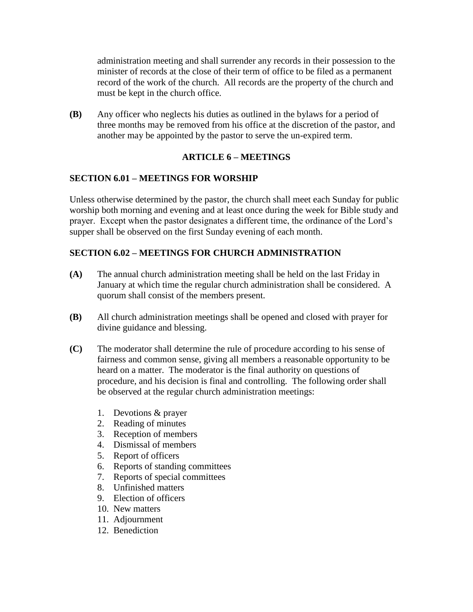administration meeting and shall surrender any records in their possession to the minister of records at the close of their term of office to be filed as a permanent record of the work of the church. All records are the property of the church and must be kept in the church office.

**(B)** Any officer who neglects his duties as outlined in the bylaws for a period of three months may be removed from his office at the discretion of the pastor, and another may be appointed by the pastor to serve the un-expired term.

#### **ARTICLE 6 – MEETINGS**

#### **SECTION 6.01 – MEETINGS FOR WORSHIP**

Unless otherwise determined by the pastor, the church shall meet each Sunday for public worship both morning and evening and at least once during the week for Bible study and prayer. Except when the pastor designates a different time, the ordinance of the Lord's supper shall be observed on the first Sunday evening of each month.

#### **SECTION 6.02 – MEETINGS FOR CHURCH ADMINISTRATION**

- **(A)** The annual church administration meeting shall be held on the last Friday in January at which time the regular church administration shall be considered. A quorum shall consist of the members present.
- **(B)** All church administration meetings shall be opened and closed with prayer for divine guidance and blessing.
- **(C)** The moderator shall determine the rule of procedure according to his sense of fairness and common sense, giving all members a reasonable opportunity to be heard on a matter. The moderator is the final authority on questions of procedure, and his decision is final and controlling. The following order shall be observed at the regular church administration meetings:
	- 1. Devotions & prayer
	- 2. Reading of minutes
	- 3. Reception of members
	- 4. Dismissal of members
	- 5. Report of officers
	- 6. Reports of standing committees
	- 7. Reports of special committees
	- 8. Unfinished matters
	- 9. Election of officers
	- 10. New matters
	- 11. Adjournment
	- 12. Benediction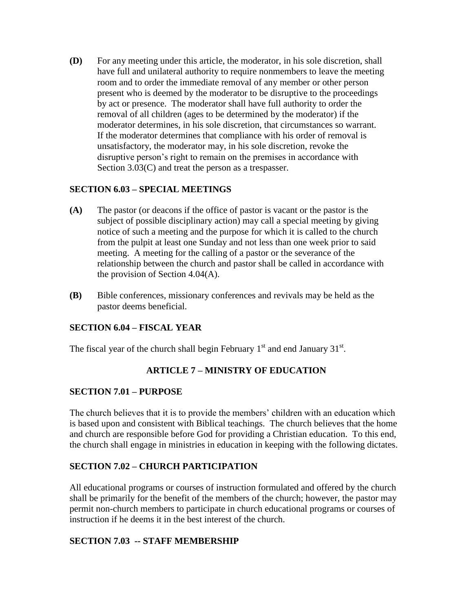**(D)** For any meeting under this article, the moderator, in his sole discretion, shall have full and unilateral authority to require nonmembers to leave the meeting room and to order the immediate removal of any member or other person present who is deemed by the moderator to be disruptive to the proceedings by act or presence. The moderator shall have full authority to order the removal of all children (ages to be determined by the moderator) if the moderator determines, in his sole discretion, that circumstances so warrant. If the moderator determines that compliance with his order of removal is unsatisfactory, the moderator may, in his sole discretion, revoke the disruptive person's right to remain on the premises in accordance with Section 3.03(C) and treat the person as a trespasser.

## **SECTION 6.03 – SPECIAL MEETINGS**

- **(A)** The pastor (or deacons if the office of pastor is vacant or the pastor is the subject of possible disciplinary action) may call a special meeting by giving notice of such a meeting and the purpose for which it is called to the church from the pulpit at least one Sunday and not less than one week prior to said meeting. A meeting for the calling of a pastor or the severance of the relationship between the church and pastor shall be called in accordance with the provision of Section 4.04(A).
- **(B)** Bible conferences, missionary conferences and revivals may be held as the pastor deems beneficial.

## **SECTION 6.04 – FISCAL YEAR**

The fiscal year of the church shall begin February  $1<sup>st</sup>$  and end January  $31<sup>st</sup>$ .

# **ARTICLE 7 – MINISTRY OF EDUCATION**

## **SECTION 7.01 – PURPOSE**

The church believes that it is to provide the members' children with an education which is based upon and consistent with Biblical teachings. The church believes that the home and church are responsible before God for providing a Christian education. To this end, the church shall engage in ministries in education in keeping with the following dictates.

# **SECTION 7.02 – CHURCH PARTICIPATION**

All educational programs or courses of instruction formulated and offered by the church shall be primarily for the benefit of the members of the church; however, the pastor may permit non-church members to participate in church educational programs or courses of instruction if he deems it in the best interest of the church.

## **SECTION 7.03 -- STAFF MEMBERSHIP**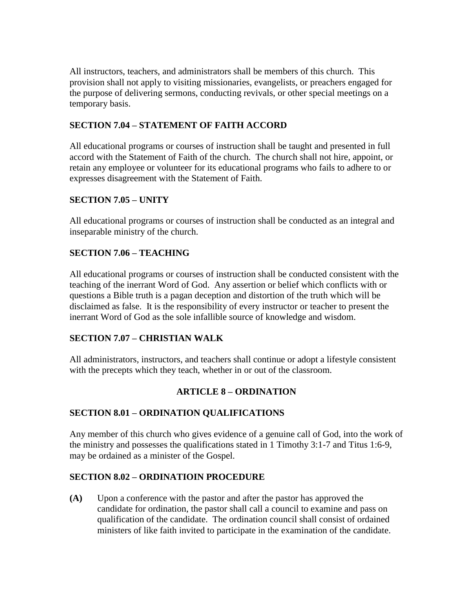All instructors, teachers, and administrators shall be members of this church. This provision shall not apply to visiting missionaries, evangelists, or preachers engaged for the purpose of delivering sermons, conducting revivals, or other special meetings on a temporary basis.

## **SECTION 7.04 – STATEMENT OF FAITH ACCORD**

All educational programs or courses of instruction shall be taught and presented in full accord with the Statement of Faith of the church. The church shall not hire, appoint, or retain any employee or volunteer for its educational programs who fails to adhere to or expresses disagreement with the Statement of Faith.

## **SECTION 7.05 – UNITY**

All educational programs or courses of instruction shall be conducted as an integral and inseparable ministry of the church.

## **SECTION 7.06 – TEACHING**

All educational programs or courses of instruction shall be conducted consistent with the teaching of the inerrant Word of God. Any assertion or belief which conflicts with or questions a Bible truth is a pagan deception and distortion of the truth which will be disclaimed as false. It is the responsibility of every instructor or teacher to present the inerrant Word of God as the sole infallible source of knowledge and wisdom.

## **SECTION 7.07 – CHRISTIAN WALK**

All administrators, instructors, and teachers shall continue or adopt a lifestyle consistent with the precepts which they teach, whether in or out of the classroom.

# **ARTICLE 8 – ORDINATION**

## **SECTION 8.01 – ORDINATION QUALIFICATIONS**

Any member of this church who gives evidence of a genuine call of God, into the work of the ministry and possesses the qualifications stated in 1 Timothy 3:1-7 and Titus 1:6-9, may be ordained as a minister of the Gospel.

## **SECTION 8.02 – ORDINATIOIN PROCEDURE**

**(A)** Upon a conference with the pastor and after the pastor has approved the candidate for ordination, the pastor shall call a council to examine and pass on qualification of the candidate. The ordination council shall consist of ordained ministers of like faith invited to participate in the examination of the candidate.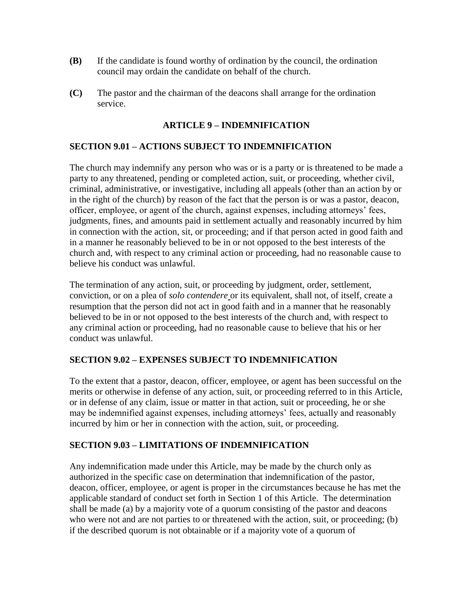- **(B)** If the candidate is found worthy of ordination by the council, the ordination council may ordain the candidate on behalf of the church.
- **(C)** The pastor and the chairman of the deacons shall arrange for the ordination service.

## **ARTICLE 9 – INDEMNIFICATION**

#### **SECTION 9.01 – ACTIONS SUBJECT TO INDEMNIFICATION**

The church may indemnify any person who was or is a party or is threatened to be made a party to any threatened, pending or completed action, suit, or proceeding, whether civil, criminal, administrative, or investigative, including all appeals (other than an action by or in the right of the church) by reason of the fact that the person is or was a pastor, deacon, officer, employee, or agent of the church, against expenses, including attorneys' fees, judgments, fines, and amounts paid in settlement actually and reasonably incurred by him in connection with the action, sit, or proceeding; and if that person acted in good faith and in a manner he reasonably believed to be in or not opposed to the best interests of the church and, with respect to any criminal action or proceeding, had no reasonable cause to believe his conduct was unlawful.

The termination of any action, suit, or proceeding by judgment, order, settlement, conviction, or on a plea of *solo contendere* or its equivalent, shall not, of itself, create a resumption that the person did not act in good faith and in a manner that he reasonably believed to be in or not opposed to the best interests of the church and, with respect to any criminal action or proceeding, had no reasonable cause to believe that his or her conduct was unlawful.

## **SECTION 9.02 – EXPENSES SUBJECT TO INDEMNIFICATION**

To the extent that a pastor, deacon, officer, employee, or agent has been successful on the merits or otherwise in defense of any action, suit, or proceeding referred to in this Article, or in defense of any claim, issue or matter in that action, suit or proceeding, he or she may be indemnified against expenses, including attorneys' fees, actually and reasonably incurred by him or her in connection with the action, suit, or proceeding.

## **SECTION 9.03 – LIMITATIONS OF INDEMNIFICATION**

Any indemnification made under this Article, may be made by the church only as authorized in the specific case on determination that indemnification of the pastor, deacon, officer, employee, or agent is proper in the circumstances because he has met the applicable standard of conduct set forth in Section 1 of this Article. The determination shall be made (a) by a majority vote of a quorum consisting of the pastor and deacons who were not and are not parties to or threatened with the action, suit, or proceeding; (b) if the described quorum is not obtainable or if a majority vote of a quorum of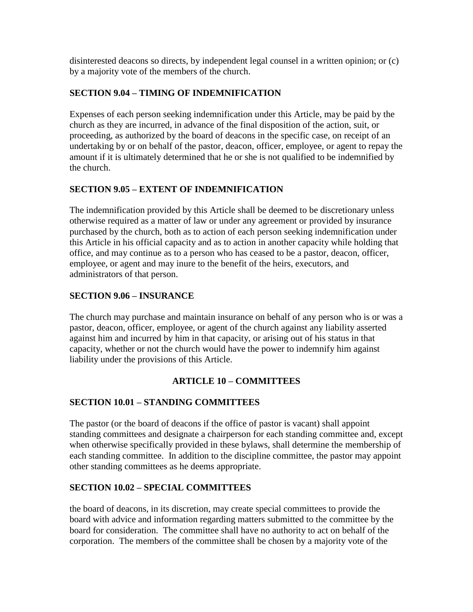disinterested deacons so directs, by independent legal counsel in a written opinion; or (c) by a majority vote of the members of the church.

## **SECTION 9.04 – TIMING OF INDEMNIFICATION**

Expenses of each person seeking indemnification under this Article, may be paid by the church as they are incurred, in advance of the final disposition of the action, suit, or proceeding, as authorized by the board of deacons in the specific case, on receipt of an undertaking by or on behalf of the pastor, deacon, officer, employee, or agent to repay the amount if it is ultimately determined that he or she is not qualified to be indemnified by the church.

# **SECTION 9.05 – EXTENT OF INDEMNIFICATION**

The indemnification provided by this Article shall be deemed to be discretionary unless otherwise required as a matter of law or under any agreement or provided by insurance purchased by the church, both as to action of each person seeking indemnification under this Article in his official capacity and as to action in another capacity while holding that office, and may continue as to a person who has ceased to be a pastor, deacon, officer, employee, or agent and may inure to the benefit of the heirs, executors, and administrators of that person.

## **SECTION 9.06 – INSURANCE**

The church may purchase and maintain insurance on behalf of any person who is or was a pastor, deacon, officer, employee, or agent of the church against any liability asserted against him and incurred by him in that capacity, or arising out of his status in that capacity, whether or not the church would have the power to indemnify him against liability under the provisions of this Article.

## **ARTICLE 10 – COMMITTEES**

## **SECTION 10.01 – STANDING COMMITTEES**

The pastor (or the board of deacons if the office of pastor is vacant) shall appoint standing committees and designate a chairperson for each standing committee and, except when otherwise specifically provided in these bylaws, shall determine the membership of each standing committee. In addition to the discipline committee, the pastor may appoint other standing committees as he deems appropriate.

## **SECTION 10.02 – SPECIAL COMMITTEES**

the board of deacons, in its discretion, may create special committees to provide the board with advice and information regarding matters submitted to the committee by the board for consideration. The committee shall have no authority to act on behalf of the corporation. The members of the committee shall be chosen by a majority vote of the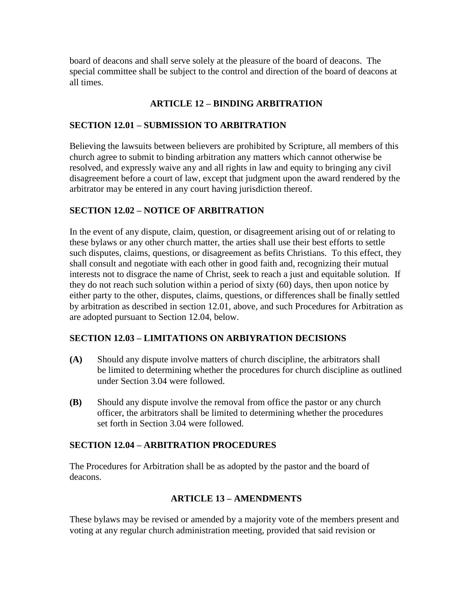board of deacons and shall serve solely at the pleasure of the board of deacons. The special committee shall be subject to the control and direction of the board of deacons at all times.

# **ARTICLE 12 – BINDING ARBITRATION**

## **SECTION 12.01 – SUBMISSION TO ARBITRATION**

Believing the lawsuits between believers are prohibited by Scripture, all members of this church agree to submit to binding arbitration any matters which cannot otherwise be resolved, and expressly waive any and all rights in law and equity to bringing any civil disagreement before a court of law, except that judgment upon the award rendered by the arbitrator may be entered in any court having jurisdiction thereof.

## **SECTION 12.02 – NOTICE OF ARBITRATION**

In the event of any dispute, claim, question, or disagreement arising out of or relating to these bylaws or any other church matter, the arties shall use their best efforts to settle such disputes, claims, questions, or disagreement as befits Christians. To this effect, they shall consult and negotiate with each other in good faith and, recognizing their mutual interests not to disgrace the name of Christ, seek to reach a just and equitable solution. If they do not reach such solution within a period of sixty (60) days, then upon notice by either party to the other, disputes, claims, questions, or differences shall be finally settled by arbitration as described in section 12.01, above, and such Procedures for Arbitration as are adopted pursuant to Section 12.04, below.

#### **SECTION 12.03 – LIMITATIONS ON ARBIYRATION DECISIONS**

- **(A)** Should any dispute involve matters of church discipline, the arbitrators shall be limited to determining whether the procedures for church discipline as outlined under Section 3.04 were followed.
- **(B)** Should any dispute involve the removal from office the pastor or any church officer, the arbitrators shall be limited to determining whether the procedures set forth in Section 3.04 were followed.

#### **SECTION 12.04 – ARBITRATION PROCEDURES**

The Procedures for Arbitration shall be as adopted by the pastor and the board of deacons.

## **ARTICLE 13 – AMENDMENTS**

These bylaws may be revised or amended by a majority vote of the members present and voting at any regular church administration meeting, provided that said revision or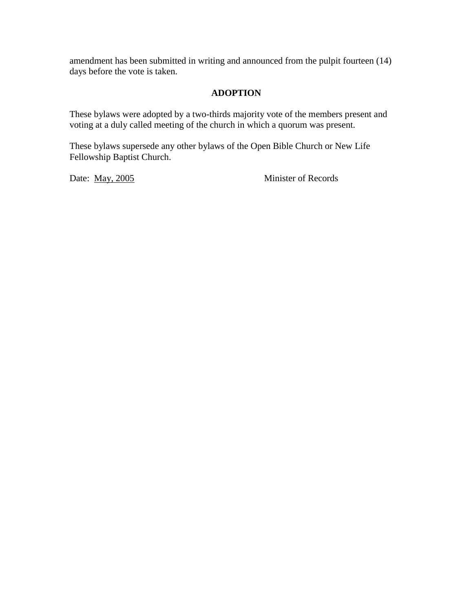amendment has been submitted in writing and announced from the pulpit fourteen (14) days before the vote is taken.

## **ADOPTION**

These bylaws were adopted by a two-thirds majority vote of the members present and voting at a duly called meeting of the church in which a quorum was present.

These bylaws supersede any other bylaws of the Open Bible Church or New Life Fellowship Baptist Church.

Date: May, 2005 Minister of Records